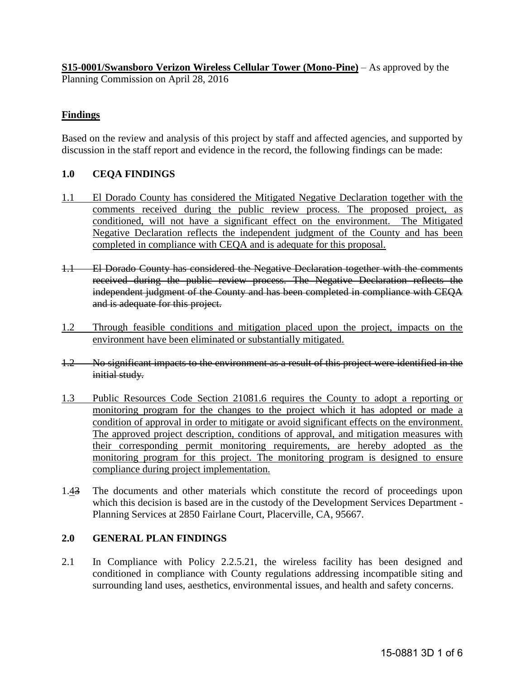**S15-0001/Swansboro Verizon Wireless Cellular Tower (Mono-Pine)** – As approved by the Planning Commission on April 28, 2016

# **Findings**

Based on the review and analysis of this project by staff and affected agencies, and supported by discussion in the staff report and evidence in the record, the following findings can be made:

## **1.0 CEQA FINDINGS**

- 1.1 El Dorado County has considered the Mitigated Negative Declaration together with the comments received during the public review process. The proposed project, as conditioned, will not have a significant effect on the environment. The Mitigated Negative Declaration reflects the independent judgment of the County and has been completed in compliance with CEQA and is adequate for this proposal.
- 1.1 El Dorado County has considered the Negative Declaration together with the comments received during the public review process. The Negative Declaration reflects the independent judgment of the County and has been completed in compliance with CEQA and is adequate for this project.
- 1.2 Through feasible conditions and mitigation placed upon the project, impacts on the environment have been eliminated or substantially mitigated.
- 1.2 No significant impacts to the environment as a result of this project were identified in the initial study.
- 1.3 Public Resources Code Section 21081.6 requires the County to adopt a reporting or monitoring program for the changes to the project which it has adopted or made a condition of approval in order to mitigate or avoid significant effects on the environment. The approved project description, conditions of approval, and mitigation measures with their corresponding permit monitoring requirements, are hereby adopted as the monitoring program for this project. The monitoring program is designed to ensure compliance during project implementation.
- 1.43 The documents and other materials which constitute the record of proceedings upon which this decision is based are in the custody of the Development Services Department - Planning Services at 2850 Fairlane Court, Placerville, CA, 95667.

## **2.0 GENERAL PLAN FINDINGS**

2.1 In Compliance with Policy 2.2.5.21, the wireless facility has been designed and conditioned in compliance with County regulations addressing incompatible siting and surrounding land uses, aesthetics, environmental issues, and health and safety concerns.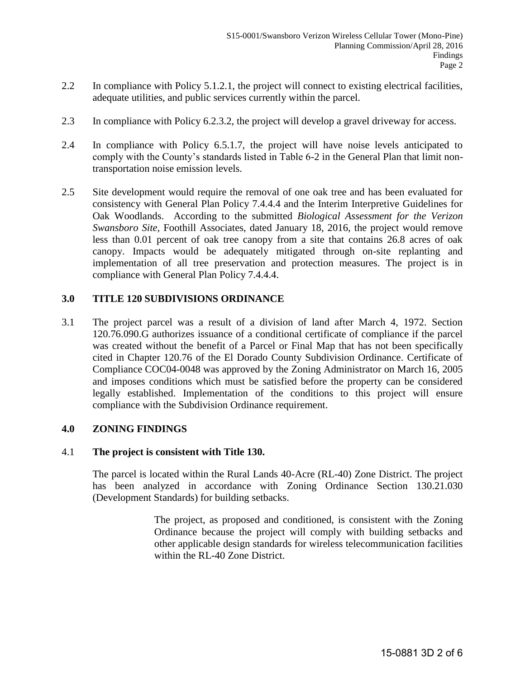- 2.2 In compliance with Policy 5.1.2.1, the project will connect to existing electrical facilities, adequate utilities, and public services currently within the parcel.
- 2.3 In compliance with Policy 6.2.3.2, the project will develop a gravel driveway for access.
- 2.4 In compliance with Policy 6.5.1.7, the project will have noise levels anticipated to comply with the County's standards listed in Table 6-2 in the General Plan that limit nontransportation noise emission levels.
- 2.5 Site development would require the removal of one oak tree and has been evaluated for consistency with General Plan Policy 7.4.4.4 and the Interim Interpretive Guidelines for Oak Woodlands. According to the submitted *Biological Assessment for the Verizon Swansboro Site,* Foothill Associates, dated January 18, 2016, the project would remove less than 0.01 percent of oak tree canopy from a site that contains 26.8 acres of oak canopy. Impacts would be adequately mitigated through on-site replanting and implementation of all tree preservation and protection measures. The project is in compliance with General Plan Policy 7.4.4.4.

## **3.0 TITLE 120 SUBDIVISIONS ORDINANCE**

3.1 The project parcel was a result of a division of land after March 4, 1972. Section 120.76.090.G authorizes issuance of a conditional certificate of compliance if the parcel was created without the benefit of a Parcel or Final Map that has not been specifically cited in Chapter 120.76 of the El Dorado County Subdivision Ordinance. Certificate of Compliance COC04-0048 was approved by the Zoning Administrator on March 16, 2005 and imposes conditions which must be satisfied before the property can be considered legally established. Implementation of the conditions to this project will ensure compliance with the Subdivision Ordinance requirement.

## **4.0 ZONING FINDINGS**

### 4.1 **The project is consistent with Title 130.**

The parcel is located within the Rural Lands 40-Acre (RL-40) Zone District. The project has been analyzed in accordance with Zoning Ordinance Section 130.21.030 (Development Standards) for building setbacks.

> The project, as proposed and conditioned, is consistent with the Zoning Ordinance because the project will comply with building setbacks and other applicable design standards for wireless telecommunication facilities within the RL-40 Zone District.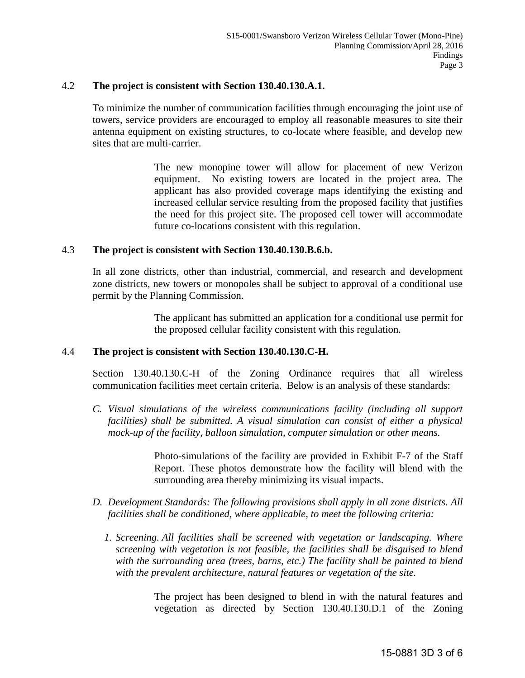### 4.2 **The project is consistent with Section 130.40.130.A.1.**

To minimize the number of communication facilities through encouraging the joint use of towers, service providers are encouraged to employ all reasonable measures to site their antenna equipment on existing structures, to co-locate where feasible, and develop new sites that are multi-carrier.

> The new monopine tower will allow for placement of new Verizon equipment. No existing towers are located in the project area. The applicant has also provided coverage maps identifying the existing and increased cellular service resulting from the proposed facility that justifies the need for this project site. The proposed cell tower will accommodate future co-locations consistent with this regulation.

#### 4.3 **The project is consistent with Section 130.40.130.B.6.b.**

In all zone districts, other than industrial, commercial, and research and development zone districts, new towers or monopoles shall be subject to approval of a conditional use permit by the Planning Commission.

> The applicant has submitted an application for a conditional use permit for the proposed cellular facility consistent with this regulation.

#### 4.4 **The project is consistent with Section 130.40.130.C-H.**

Section 130.40.130.C-H of the Zoning Ordinance requires that all wireless communication facilities meet certain criteria. Below is an analysis of these standards:

*C. Visual simulations of the wireless communications facility (including all support facilities)* shall be submitted. A visual simulation can consist of either a physical *mock-up of the facility, balloon simulation, computer simulation or other means.*

> Photo-simulations of the facility are provided in Exhibit F-7 of the Staff Report. These photos demonstrate how the facility will blend with the surrounding area thereby minimizing its visual impacts.

- *D. Development Standards: The following provisions shall apply in all zone districts. All facilities shall be conditioned, where applicable, to meet the following criteria:* 
	- *1. Screening. All facilities shall be screened with vegetation or landscaping. Where screening with vegetation is not feasible, the facilities shall be disguised to blend with the surrounding area (trees, barns, etc.) The facility shall be painted to blend with the prevalent architecture, natural features or vegetation of the site.*

The project has been designed to blend in with the natural features and vegetation as directed by Section 130.40.130.D.1 of the Zoning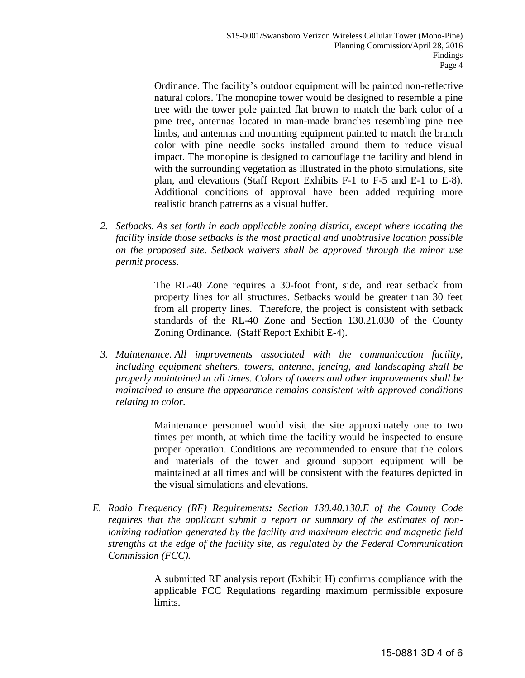Ordinance. The facility's outdoor equipment will be painted non-reflective natural colors. The monopine tower would be designed to resemble a pine tree with the tower pole painted flat brown to match the bark color of a pine tree, antennas located in man-made branches resembling pine tree limbs, and antennas and mounting equipment painted to match the branch color with pine needle socks installed around them to reduce visual impact. The monopine is designed to camouflage the facility and blend in with the surrounding vegetation as illustrated in the photo simulations, site plan, and elevations (Staff Report Exhibits F-1 to F-5 and E-1 to E-8). Additional conditions of approval have been added requiring more realistic branch patterns as a visual buffer.

*2. Setbacks. As set forth in each applicable zoning district, except where locating the facility inside those setbacks is the most practical and unobtrusive location possible on the proposed site. Setback waivers shall be approved through the minor use permit process.* 

> The RL-40 Zone requires a 30-foot front, side, and rear setback from property lines for all structures. Setbacks would be greater than 30 feet from all property lines. Therefore, the project is consistent with setback standards of the RL-40 Zone and Section 130.21.030 of the County Zoning Ordinance. (Staff Report Exhibit E-4).

*3. Maintenance. All improvements associated with the communication facility, including equipment shelters, towers, antenna, fencing, and landscaping shall be properly maintained at all times. Colors of towers and other improvements shall be maintained to ensure the appearance remains consistent with approved conditions relating to color.* 

> Maintenance personnel would visit the site approximately one to two times per month, at which time the facility would be inspected to ensure proper operation. Conditions are recommended to ensure that the colors and materials of the tower and ground support equipment will be maintained at all times and will be consistent with the features depicted in the visual simulations and elevations.

*E. Radio Frequency (RF) Requirements: Section 130.40.130.E of the County Code requires that the applicant submit a report or summary of the estimates of nonionizing radiation generated by the facility and maximum electric and magnetic field strengths at the edge of the facility site, as regulated by the Federal Communication Commission (FCC).* 

> A submitted RF analysis report (Exhibit H) confirms compliance with the applicable FCC Regulations regarding maximum permissible exposure limits.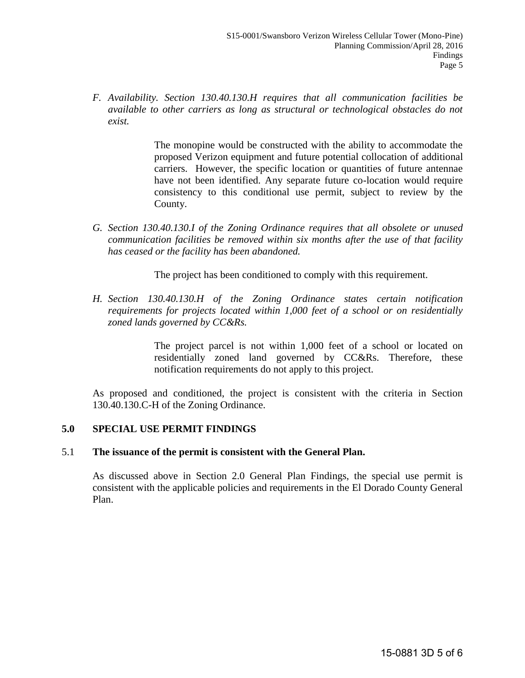*F. Availability. Section 130.40.130.H requires that all communication facilities be available to other carriers as long as structural or technological obstacles do not exist.*

> The monopine would be constructed with the ability to accommodate the proposed Verizon equipment and future potential collocation of additional carriers. However, the specific location or quantities of future antennae have not been identified. Any separate future co-location would require consistency to this conditional use permit, subject to review by the County.

*G. Section 130.40.130.I of the Zoning Ordinance requires that all obsolete or unused communication facilities be removed within six months after the use of that facility has ceased or the facility has been abandoned.* 

The project has been conditioned to comply with this requirement.

*H. Section 130.40.130.H of the Zoning Ordinance states certain notification requirements for projects located within 1,000 feet of a school or on residentially zoned lands governed by CC&Rs.* 

> The project parcel is not within 1,000 feet of a school or located on residentially zoned land governed by CC&Rs. Therefore, these notification requirements do not apply to this project.

As proposed and conditioned, the project is consistent with the criteria in Section 130.40.130.C-H of the Zoning Ordinance.

## **5.0 SPECIAL USE PERMIT FINDINGS**

### 5.1 **The issuance of the permit is consistent with the General Plan.**

 As discussed above in Section 2.0 General Plan Findings, the special use permit is consistent with the applicable policies and requirements in the El Dorado County General Plan.